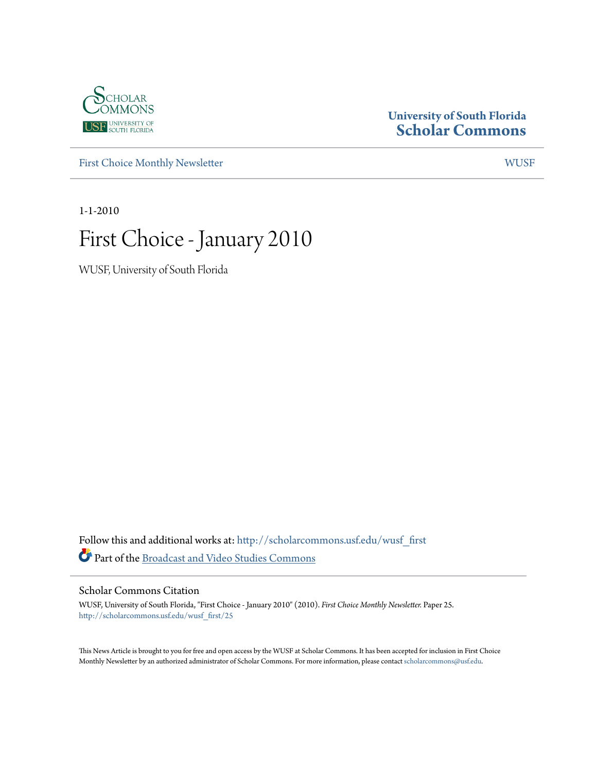

# **University of South Florida [Scholar Commons](http://scholarcommons.usf.edu?utm_source=scholarcommons.usf.edu%2Fwusf_first%2F25&utm_medium=PDF&utm_campaign=PDFCoverPages)**

[First Choice Monthly Newsletter](http://scholarcommons.usf.edu/wusf_first?utm_source=scholarcommons.usf.edu%2Fwusf_first%2F25&utm_medium=PDF&utm_campaign=PDFCoverPages) [WUSF](http://scholarcommons.usf.edu/wusf?utm_source=scholarcommons.usf.edu%2Fwusf_first%2F25&utm_medium=PDF&utm_campaign=PDFCoverPages)

1-1-2010

# First Choice - January 2010

WUSF, University of South Florida

Follow this and additional works at: [http://scholarcommons.usf.edu/wusf\\_first](http://scholarcommons.usf.edu/wusf_first?utm_source=scholarcommons.usf.edu%2Fwusf_first%2F25&utm_medium=PDF&utm_campaign=PDFCoverPages) Part of the [Broadcast and Video Studies Commons](http://network.bepress.com/hgg/discipline/326?utm_source=scholarcommons.usf.edu%2Fwusf_first%2F25&utm_medium=PDF&utm_campaign=PDFCoverPages)

Scholar Commons Citation

WUSF, University of South Florida, "First Choice - January 2010" (2010). *First Choice Monthly Newsletter.* Paper 25. [http://scholarcommons.usf.edu/wusf\\_first/25](http://scholarcommons.usf.edu/wusf_first/25?utm_source=scholarcommons.usf.edu%2Fwusf_first%2F25&utm_medium=PDF&utm_campaign=PDFCoverPages)

This News Article is brought to you for free and open access by the WUSF at Scholar Commons. It has been accepted for inclusion in First Choice Monthly Newsletter by an authorized administrator of Scholar Commons. For more information, please contact [scholarcommons@usf.edu.](mailto:scholarcommons@usf.edu)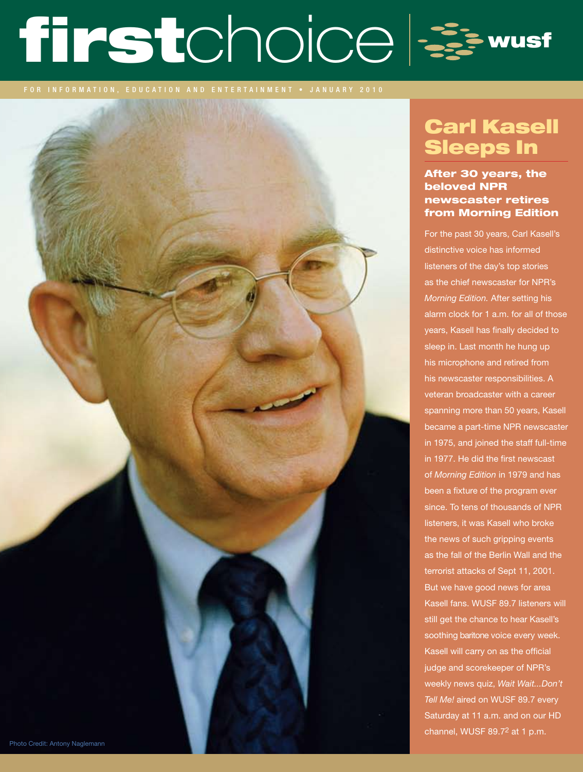# firstchoice &

# Carl Kasell Sleeps In

# After 30 years, the beloved NPR newscaster retires from Morning Edition

For the past 30 years, Carl Kasell's distinctive voice has informed listeners of the day's top stories as the chief newscaster for NPR's *Morning Edition.* After setting his alarm clock for 1 a.m. for all of those years, Kasell has finally decided to sleep in. Last month he hung up his microphone and retired from his newscaster responsibilities. A veteran broadcaster with a career spanning more than 50 years, Kasell became a part-time NPR newscaster in 1975, and joined the staff full-time in 1977. He did the first newscast of *Morning Edition* in 1979 and has been a fixture of the program ever since. To tens of thousands of NPR listeners, it was Kasell who broke the news of such gripping events as the fall of the Berlin Wall and the terrorist attacks of Sept 11, 2001. But we have good news for area Kasell fans. WUSF 89.7 listeners will still get the chance to hear Kasell's soothing baritone voice every week. Kasell will carry on as the official judge and scorekeeper of NPR's weekly news quiz, *Wait Wait...Don't Tell Me!* aired on WUSF 89.7 every Saturday at 11 a.m. and on our HD channel, WUSF 89.72 at 1 p.m.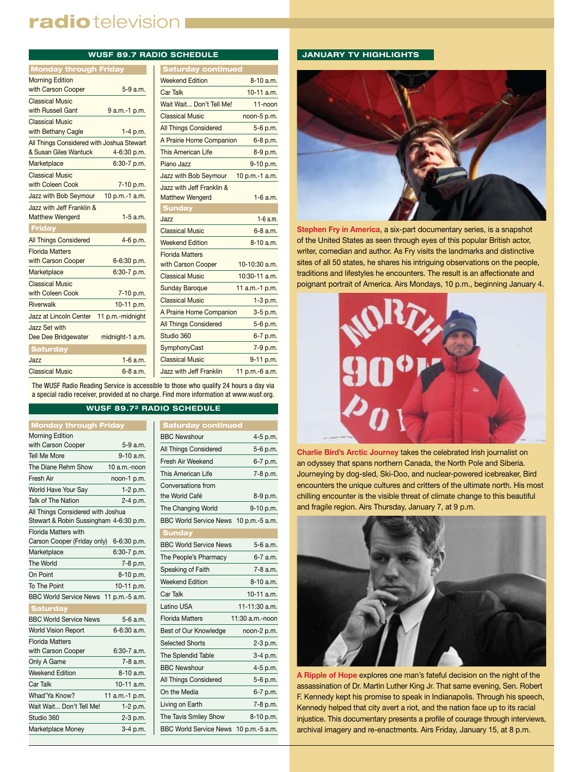# radio television I

| <b>Monday through Friday</b>              |                  |                |
|-------------------------------------------|------------------|----------------|
| <b>Morning Edition</b>                    |                  | W <sub>®</sub> |
| with Carson Cooper                        | 5-9 a.m.         | Ca             |
| <b>Classical Music</b>                    |                  | W.             |
| with Russell Gant                         | 9 a.m.-1 p.m.    | Cli            |
| <b>Classical Music</b>                    |                  | All            |
| with Bethany Cagle                        | $1-4$ p.m.       |                |
| All Things Considered with Joshua Stewart |                  | A <sub>1</sub> |
| & Susan Giles Wantuck                     | 4-6:30 p.m.      | Th             |
| Marketplace                               | 6:30-7 p.m.      | Pia            |
| <b>Classical Music</b>                    |                  | Ja             |
| with Coleen Cook                          | 7-10 p.m.        | Ja             |
| Jazz with Bob Seymour                     | 10 p.m.-1 a.m.   | Ma             |
| Jazz with Jeff Franklin &                 |                  | s              |
| <b>Matthew Wengerd</b>                    | $1-5$ a.m.       | Ja             |
| <b>Friday</b>                             |                  | Cli            |
| <b>All Things Considered</b>              | 4-6 p.m.         | W <sub>®</sub> |
| <b>Florida Matters</b>                    |                  | Flo            |
| with Carson Cooper                        | 6-6:30 p.m.      | wi             |
| Marketplace                               | 6:30-7 p.m.      | Cli            |
| <b>Classical Music</b>                    |                  | Su             |
| with Coleen Cook                          | 7-10 p.m.        |                |
| Riverwalk                                 | 10-11 p.m.       | Cli            |
| Jazz at Lincoln Center                    | 11 p.m.-midnight | A <sub>1</sub> |
| <b>Jazz Set with</b>                      |                  | All            |
| Dee Dee Bridgewater                       | midnight-1 a.m.  | St             |
| <b>Saturday</b>                           |                  | Sy             |
| Jazz                                      | $1-6$ a.m.       | Cli            |
| <b>Classical Music</b>                    | $6 - 8$ a.m.     | Ja             |

| <b>WUSF 89.7 RADIO SCHEDULE</b> |                                |                  |  |  |
|---------------------------------|--------------------------------|------------------|--|--|
| gh Friday                       | <b>Saturday continued</b>      |                  |  |  |
|                                 | <b>Weekend Edition</b>         | $8-10a.m.$       |  |  |
| $5-9$ a.m.                      | <b>Car Talk</b>                | $10-11$ a.m.     |  |  |
|                                 | Wait Wait Don't Tell Me!       | $11 - n$ oon     |  |  |
| 9 a.m.-1 p.m.                   | <b>Classical Music</b>         | noon-5 p.m.      |  |  |
| 1-4 p.m.                        | <b>All Things Considered</b>   | 5-6 p.m.         |  |  |
| d with Joshua Stewart           | A Prairie Home Companion       | $6-8$ p.m.       |  |  |
| ck<br>4-6:30 p.m.               | <b>This American Life</b>      | 8-9 p.m.         |  |  |
| 6:30-7 p.m.                     | Piano Jazz                     | 9-10 p.m.        |  |  |
|                                 | Jazz with Bob Seymour          | 10 p.m.-1 a.m.   |  |  |
| 7-10 p.m.                       | Jazz with Jeff Franklin &      |                  |  |  |
| 10 p.m.-1 a.m.<br>our           | <b>Matthew Wengerd</b>         | $1-6$ a.m.       |  |  |
| $in$ &                          | <b>Sunday</b>                  |                  |  |  |
| $1-5$ a.m.                      | Jazz                           | $1-6$ a.m.       |  |  |
|                                 | <b>Classical Music</b>         | $6 - 8$ a.m.     |  |  |
| d<br>$4-6$ p.m.                 | <b>Weekend Edition</b>         | 8-10 a.m.        |  |  |
|                                 | <b>Florida Matters</b>         |                  |  |  |
| 6-6:30 p.m.                     | with Carson Cooper             | 10-10:30 a.m.    |  |  |
| 6:30-7 p.m.                     | <b>Classical Music</b>         | $10:30-11$ a.m.  |  |  |
| 7-10 p.m.                       | <b>Sunday Baroque</b>          | 11 $a.m.-1 p.m.$ |  |  |
| 10-11 p.m.                      | <b>Classical Music</b>         | $1-3$ p.m.       |  |  |
| 11 p.m.-midnight<br>er          | A Prairie Home Companion       | $3-5$ p.m.       |  |  |
|                                 | <b>All Things Considered</b>   | 5-6 p.m.         |  |  |
| midnight-1 a.m.<br>r            | Studio 360                     | 6-7 p.m.         |  |  |
|                                 | SymphonyCast                   | 7-9 p.m.         |  |  |
| $1-6$ a.m.                      | <b>Classical Music</b>         | 9-11 p.m.        |  |  |
| 6-8 a.m.                        | <b>Jazz with Jeff Franklin</b> | 11 p.m.-6 a.m.   |  |  |

The WUSF Radio Reading Service is accessible to those who qualify 24 hours a day via a special radio receiver, provided at no charge. Find more information at www.wusf.org.

# **WUSF 89.72 RADIO SCHEDULE**

| <b>Monday through Friday</b>           |                |  |
|----------------------------------------|----------------|--|
| <b>Morning Edition</b>                 |                |  |
| with Carson Cooper                     | 5-9 a.m.       |  |
| <b>Tell Me More</b>                    | $9-10$ a.m.    |  |
| The Diane Rehm Show                    | 10 a.m.-noon   |  |
| Fresh Air                              | noon-1 p.m.    |  |
| World Have Your Say                    | $1-2 p.m.$     |  |
| Talk of The Nation                     | 2-4 p.m.       |  |
| All Things Considered with Joshua      |                |  |
| Stewart & Robin Sussingham 4-6:30 p.m. |                |  |
| <b>Florida Matters with</b>            |                |  |
| Carson Cooper (Friday only)            | 6-6:30 p.m.    |  |
| Marketplace                            | 6:30-7 p.m.    |  |
| The World                              | 7-8 p.m.       |  |
| On Point                               | 8-10 p.m.      |  |
| To The Point                           | 10-11 p.m.     |  |
| <b>BBC World Service News</b>          | 11 p.m.-5 a.m. |  |
| <b>Saturday</b>                        |                |  |
| <b>BBC World Service News</b>          | $5-6$ a.m.     |  |
| <b>World Vision Report</b>             | 6-6:30 a.m.    |  |
| <b>Florida Matters</b>                 |                |  |
| with Carson Cooper                     | $6:30-7$ a.m.  |  |
| Only A Game                            | 7-8 a.m.       |  |
| <b>Weekend Edition</b>                 | 8-10 a.m.      |  |
| Car Talk                               | 10-11 a.m.     |  |
| Whad'Ya Know?                          | 11 a.m.-1 p.m. |  |
| Wait Wait Don't Tell Me!               | 1-2 p.m.       |  |
| Studio 360                             | 2-3 p.m.       |  |
| Marketplace Money                      | 3-4 p.m.       |  |

| <b>Saturday continued</b>             |                 |
|---------------------------------------|-----------------|
| <b>BBC Newshour</b>                   | 4-5 p.m.        |
| All Things Considered                 | 5-6 p.m.        |
| Fresh Air Weekend                     | 6-7 p.m.        |
| This American Life                    | 7-8 p.m.        |
| Conversations from                    |                 |
| the World Café                        | 8-9 p.m.        |
| The Changing World                    | 9-10 p.m.       |
| BBC World Service News 10 p.m.-5 a.m. |                 |
| <b>Sunday</b>                         |                 |
| <b>BBC World Service News</b>         | 5-6 a.m.        |
| The People's Pharmacy                 | 6-7 a.m.        |
| Speaking of Faith                     | $7-8$ a.m.      |
| <b>Weekend Edition</b>                | 8-10 a.m.       |
| Car Talk                              | 10-11 a.m.      |
| Latino USA                            | 11-11:30 a.m.   |
| <b>Florida Matters</b>                | 11:30 a.m.-noon |
| Best of Our Knowledge                 | noon-2 p.m.     |
| <b>Selected Shorts</b>                | $2-3$ p.m.      |
| The Splendid Table                    | $3-4 p.m.$      |
| <b>BBC Newshour</b>                   | 4-5 p.m.        |
| All Things Considered                 | 5-6 p.m.        |
| On the Media                          | 6-7 p.m.        |
| Living on Earth                       | 7-8 p.m.        |
| The Tavis Smiley Show                 | 8-10 p.m.       |
| BBC World Service News 10 p.m.-5 a.m. |                 |

# **JANUARY TV HIGHLIGHTS**



**Stephen Fry in America**, a six-part documentary series, is a snapshot of the United States as seen through eyes of this popular British actor, writer, comedian and author. As Fry visits the landmarks and distinctive sites of all 50 states, he shares his intriguing observations on the people, traditions and lifestyles he encounters. The result is an affectionate and poignant portrait of America. Airs Mondays, 10 p.m., beginning January 4.



**Charlie Bird's Arctic Journey** takes the celebrated Irish journalist on an odyssey that spans northern Canada, the North Pole and Siberia. Journeying by dog-sled, Ski-Doo, and nuclear-powered icebreaker, Bird encounters the unique cultures and critters of the ultimate north. His most chilling encounter is the visible threat of climate change to this beautiful and fragile region. Airs Thursday, January 7, at 9 p.m.



**A Ripple of Hope** explores one man's fateful decision on the night of the assassination of Dr. Martin Luther King Jr. That same evening, Sen. Robert F. Kennedy kept his promise to speak in Indianapolis. Through his speech, Kennedy helped that city avert a riot, and the nation face up to its racial injustice. This documentary presents a profile of courage through interviews, archival imagery and re-enactments. Airs Friday, January 15, at 8 p.m.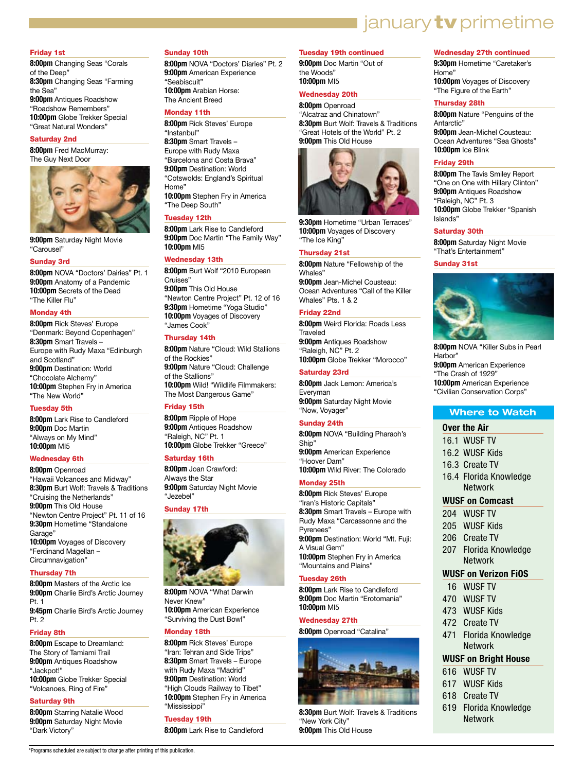# january **tv** primetime

# Friday 1st

**8:00pm** Changing Seas "Corals of the Deep" **8:30pm** Changing Seas "Farming the Sea" **9:00pm** Antiques Roadshow "Roadshow Remembers" **10:00pm** Globe Trekker Special "Great Natural Wonders"

# Saturday 2nd

**8:00pm** Fred MacMurray: The Guy Next Door



**9:00pm** Saturday Night Movie "Carousel"

# Sunday 3rd

**8:00pm** NOVA "Doctors' Dairies" Pt. 1 **9:00pm** Anatomy of a Pandemic **10:00pm** Secrets of the Dead "The Killer Flu"

# Monday 4th

**8:00pm** Rick Steves' Europe "Denmark: Beyond Copenhagen" **8:30pm** Smart Travels – Europe with Rudy Maxa "Edinburgh and Scotland" **9:00pm** Destination: World "Chocolate Alchemy" **10:00pm** Stephen Fry in America "The New World"

# Tuesday 5th

**8:00pm** Lark Rise to Candleford **9:00pm** Doc Martin "Always on My Mind" **10:00pm** MI5

# Wednesday 6th

**8:00pm** Openroad "Hawaii Volcanoes and Midway" **8:30pm** Burt Wolf: Travels & Traditions "Cruising the Netherlands" **9:00pm** This Old House "Newton Centre Project" Pt. 11 of 16 **9:30pm** Hometime "Standalone Garage" **10:00pm** Voyages of Discovery "Ferdinand Magellan – Circumnavigation"

## Thursday 7th

**8:00pm** Masters of the Arctic Ice **9:00pm** Charlie Bird's Arctic Journey Pt. 1 **9:45pm** Charlie Bird's Arctic Journey Pt. 2

# Friday 8th

**8:00pm** Escape to Dreamland: The Story of Tamiami Trail **9:00pm** Antiques Roadshow "Jackpot!" **10:00pm** Globe Trekker Special "Volcanoes, Ring of Fire"

## Saturday 9th

**8:00pm** Starring Natalie Wood **9:00pm** Saturday Night Movie "Dark Victory"

## Sunday 10th

**8:00pm** NOVA "Doctors' Diaries" Pt. 2 **9:00pm** American Experience "Seabiscuit" **10:00pm** Arabian Horse: The Ancient Breed

# Monday 11th

**8:00pm** Rick Steves' Europe "Instanbul" **8:30pm** Smart Travels – Europe with Rudy Maxa "Barcelona and Costa Brava" **9:00pm** Destination: World "Cotswolds: England's Spiritual Home" **10:00pm** Stephen Fry in America "The Deep South"

# Tuesday 12th

**8:00pm** Lark Rise to Candleford **9:00pm** Doc Martin "The Family Way" **10:00pm** MI5

# Wednesday 13th

**8:00pm** Burt Wolf "2010 European Cruises" **9:00pm** This Old House "Newton Centre Project" Pt. 12 of 16 **9:30pm** Hometime "Yoga Studio" **10:00pm** Voyages of Discovery "James Cook"

# Thursday 14th

**8:00pm** Nature "Cloud: Wild Stallions of the Rockies" **9:00pm** Nature "Cloud: Challenge of the Stallions" **10:00pm** Wild! "Wildlife Filmmakers: The Most Dangerous Game"

# Friday 15th

**8:00pm** Ripple of Hope **9:00pm** Antiques Roadshow "Raleigh, NC" Pt. 1 **10:00pm** Globe Trekker "Greece"

# Saturday 16th

**8:00pm** Joan Crawford: Always the Star **9:00pm** Saturday Night Movie "Jezebel"

# Sunday 17th



**8:00pm** NOVA "What Darwin Never Knew" **10:00pm** American Experience "Surviving the Dust Bowl"

# Monday 18th

**8:00pm** Rick Steves' Europe "Iran: Tehran and Side Trips" **8:30pm** Smart Travels – Europe with Rudy Maxa "Madrid" **9:00pm** Destination: World "High Clouds Railway to Tibet" **10:00pm** Stephen Fry in America "Mississippi"

# Tuesday 19th

**8:00pm** Lark Rise to Candleford

# Tuesday 19th continued

**9:00pm** Doc Martin "Out of the Woods" **10:00pm** MI5

# Wednesday 20th

**8:00pm** Openroad "Alcatraz and Chinatown" **8:30pm** Burt Wolf: Travels & Traditions "Great Hotels of the World" Pt. 2 **9:00pm** This Old House



**9:30pm** Hometime "Urban Terraces" **10:00pm** Voyages of Discovery "The Ice King"

# Thursday 21st

**8:00pm** Nature "Fellowship of the Whales" **9:00pm** Jean-Michel Cousteau:

Ocean Adventures "Call of the Killer Whales" Pts. 1 & 2

# Friday 22nd

**8:00pm** Weird Florida: Roads Less **Traveled 9:00pm** Antiques Roadshow "Raleigh, NC" Pt. 2 **10:00pm** Globe Trekker "Morocco"

# Saturday 23rd

**8:00pm** Jack Lemon: America's Everyman **9:00pm** Saturday Night Movie "Now, Voyager"

# Sunday 24th

**8:00pm** NOVA "Building Pharaoh's Ship" **9:00pm** American Experience "Hoover Dam" **10:00pm** Wild River: The Colorado

# Monday 25th

**8:00pm** Rick Steves' Europe "Iran's Historic Capitals" **8:30pm** Smart Travels – Europe with Rudy Maxa "Carcassonne and the Pyrenees" **9:00pm** Destination: World "Mt. Fuji: A Visual Gem" **10:00pm** Stephen Fry in America "Mountains and Plains"

# Tuesday 26th

**8:00pm** Lark Rise to Candleford **9:00pm** Doc Martin "Erotomania" **10:00pm** MI5

# Wednesday 27th

**8:00pm** Openroad "Catalina"



**8:30pm** Burt Wolf: Travels & Traditions "New York City" **9:00pm** This Old House

# Wednesday 27th continued

**9:30pm** Hometime "Caretaker's Home" **10:00pm** Voyages of Discovery "The Figure of the Earth"

## Thursday 28th

**8:00pm** Nature "Penguins of the Antarctic"

**9:00pm** Jean-Michel Cousteau: Ocean Adventures "Sea Ghosts" **10:00pm** Ice Blink

# Friday 29th

**8:00pm** The Tavis Smiley Report "One on One with Hillary Clinton" **9:00pm** Antiques Roadshow "Raleigh, NC" Pt. 3 **10:00pm** Globe Trekker "Spanish Islands"

# Saturday 30th

**8:00pm** Saturday Night Movie "That's Entertainment"

# Sunday 31st



**8:00pm** NOVA "Killer Subs in Pearl Harbor" **9:00pm** American Experience "The Crash of 1929" **10:00pm** American Experience "Civilian Conservation Corps"

# **Where to Watch**

# **Over the Air**

- 16.1 WUSF TV
- 16.2 WUSF Kids
- 16.3 Create TV
- 16.4 Florida Knowledge Network

# **WUSF on Comcast**

- 204 WUSF TV
- 205 WUSF Kids
- 206 Create TV
- 207 Florida Knowledge Network

# **WUSF on Verizon FiOS**

- 16 WUSF TV
- 470 WUSF TV
- 473 WUSF Kids
- 472 Create TV
- 471 Florida Knowledge Network

# **WUSF on Bright House**

- 616 WUSF TV
- 617 WUSF Kids
- 618 Create TV
- 619 Florida Knowledge Network